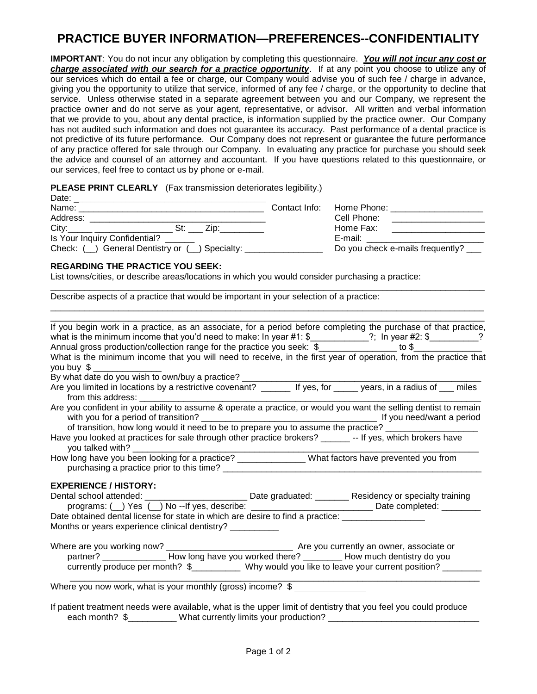## **PRACTICE BUYER INFORMATION—PREFERENCES--CONFIDENTIALITY**

**IMPORTANT**: You do not incur any obligation by completing this questionnaire. *You will not incur any cost or charge associated with our search for a practice opportunity*. If at any point you choose to utilize any of our services which do entail a fee or charge, our Company would advise you of such fee / charge in advance, giving you the opportunity to utilize that service, informed of any fee / charge, or the opportunity to decline that service. Unless otherwise stated in a separate agreement between you and our Company, we represent the practice owner and do not serve as your agent, representative, or advisor. All written and verbal information that we provide to you, about any dental practice, is information supplied by the practice owner. Our Company has not audited such information and does not guarantee its accuracy. Past performance of a dental practice is not predictive of its future performance. Our Company does not represent or guarantee the future performance of any practice offered for sale through our Company. In evaluating any practice for purchase you should seek the advice and counsel of an attorney and accountant. If you have questions related to this questionnaire, or our services, feel free to contact us by phone or e-mail.

## **PLEASE PRINT CLEARLY** (Fax transmission deteriorates legibility.)

| Date:                                                        |                                      |               |                                                                                                                |                                   |  |
|--------------------------------------------------------------|--------------------------------------|---------------|----------------------------------------------------------------------------------------------------------------|-----------------------------------|--|
| Name:                                                        |                                      | Contact Info: | Home Phone: The Monel of the Marinese of the Marinese of the Marinese of the Marinese of the Marinese of the M |                                   |  |
| Address:                                                     |                                      |               | Cell Phone:                                                                                                    |                                   |  |
|                                                              | Zip:_________                        |               | Home Fax:                                                                                                      |                                   |  |
| Is Your Inquiry Confidential?                                |                                      |               |                                                                                                                | E-mail: <u>__________________</u> |  |
| Check: ( ) General Dentistry or ( ) Specialty: _____________ | Do you check e-mails frequently? ___ |               |                                                                                                                |                                   |  |

\_\_\_\_\_\_\_\_\_\_\_\_\_\_\_\_\_\_\_\_\_\_\_\_\_\_\_\_\_\_\_\_\_\_\_\_\_\_\_\_\_\_\_\_\_\_\_\_\_\_\_\_\_\_\_\_\_\_\_\_\_\_\_\_\_\_\_\_\_\_\_\_\_\_\_\_\_\_\_\_\_\_\_\_\_\_\_\_\_

\_\_\_\_\_\_\_\_\_\_\_\_\_\_\_\_\_\_\_\_\_\_\_\_\_\_\_\_\_\_\_\_\_\_\_\_\_\_\_\_\_\_\_\_\_\_\_\_\_\_\_\_\_\_\_\_\_\_\_\_\_\_\_\_\_\_\_\_\_\_\_\_\_\_\_\_\_\_\_\_\_\_\_\_\_\_\_\_\_

## **REGARDING THE PRACTICE YOU SEEK:**

List towns/cities, or describe areas/locations in which you would consider purchasing a practice:

Describe aspects of a practice that would be important in your selection of a practice:

| If you begin work in a practice, as an associate, for a period before completing the purchase of that practice,                           |  |
|-------------------------------------------------------------------------------------------------------------------------------------------|--|
| what is the minimum income that you'd need to make: In year $\#1$ : $\frac{1}{2}$ ____________?; In year $\#2$ : $\frac{1}{2}$ _________? |  |
| Annual gross production/collection range for the practice you seek: \$                                                                    |  |
| What is the minimum income that you will need to receive, in the first year of operation, from the practice that                          |  |
|                                                                                                                                           |  |
| By what date do you wish to own/buy a practice? ________________________________                                                          |  |
| Are you limited in locations by a restrictive covenant? ______ If yes, for _____ years, in a radius of ___ miles                          |  |
| Are you confident in your ability to assume & operate a practice, or would you want the selling dentist to remain                         |  |
|                                                                                                                                           |  |
| of transition, how long would it need to be to prepare you to assume the practice? _________________                                      |  |
| Have you looked at practices for sale through other practice brokers? ______ -- If yes, which brokers have                                |  |
|                                                                                                                                           |  |
| How long have you been looking for a practice? ________________ What factors have prevented you from                                      |  |
|                                                                                                                                           |  |
| <b>EXPERIENCE / HISTORY:</b>                                                                                                              |  |
| Dental school attended: ___________________________ Date graduated: _________ Residency or specialty training                             |  |
| programs: ( ) Yes ( ) No --If yes, describe: ____________________________Date completed: _________                                        |  |
| Date obtained dental license for state in which are desire to find a practice: ____________________                                       |  |
| Months or years experience clinical dentistry? ___________                                                                                |  |
|                                                                                                                                           |  |
|                                                                                                                                           |  |
| partner? _____________________How long have you worked there? _______________How much dentistry do you                                    |  |
| currently produce per month? \$__________ Why would you like to leave your current position? ______                                       |  |
|                                                                                                                                           |  |
| Where you now work, what is your monthly (gross) income? \$                                                                               |  |
|                                                                                                                                           |  |

If patient treatment needs were available, what is the upper limit of dentistry that you feel you could produce each month?  $\frac{1}{2}$  \_\_\_\_\_\_\_\_\_\_\_\_\_\_\_\_\_ What currently limits your production?